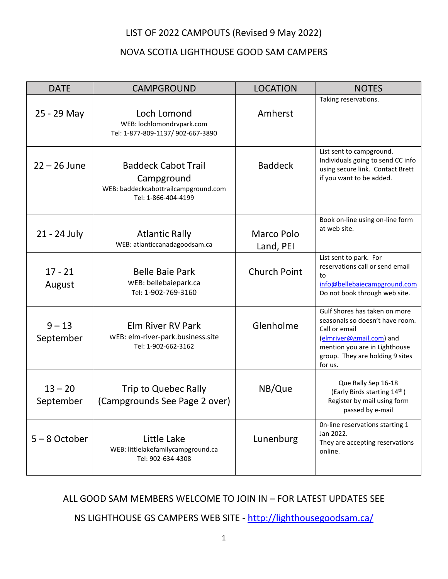## LIST OF 2022 CAMPOUTS (Revised 9 May 2022)

## NOVA SCOTIA LIGHTHOUSE GOOD SAM CAMPERS

| <b>DATE</b>            | <b>CAMPGROUND</b>                                                                                       | <b>LOCATION</b>         | <b>NOTES</b>                                                                                                                                                                                 |
|------------------------|---------------------------------------------------------------------------------------------------------|-------------------------|----------------------------------------------------------------------------------------------------------------------------------------------------------------------------------------------|
| 25 - 29 May            | Loch Lomond<br>WEB: lochlomondrvpark.com<br>Tel: 1-877-809-1137/ 902-667-3890                           | Amherst                 | Taking reservations.                                                                                                                                                                         |
| $22 - 26$ June         | <b>Baddeck Cabot Trail</b><br>Campground<br>WEB: baddeckcabottrailcampground.com<br>Tel: 1-866-404-4199 | <b>Baddeck</b>          | List sent to campground.<br>Individuals going to send CC info<br>using secure link. Contact Brett<br>if you want to be added.                                                                |
| 21 - 24 July           | <b>Atlantic Rally</b><br>WEB: atlanticcanadagoodsam.ca                                                  | Marco Polo<br>Land, PEI | Book on-line using on-line form<br>at web site.                                                                                                                                              |
| $17 - 21$<br>August    | <b>Belle Baie Park</b><br>WEB: bellebaiepark.ca<br>Tel: 1-902-769-3160                                  | <b>Church Point</b>     | List sent to park. For<br>reservations call or send email<br>to<br>info@bellebaiecampground.com<br>Do not book through web site.                                                             |
| $9 - 13$<br>September  | <b>Elm River RV Park</b><br>WEB: elm-river-park.business.site<br>Tel: 1-902-662-3162                    | Glenholme               | Gulf Shores has taken on more<br>seasonals so doesn't have room.<br>Call or email<br>(elmriver@gmail.com) and<br>mention you are in Lighthouse<br>group. They are holding 9 sites<br>for us. |
| $13 - 20$<br>September | Trip to Quebec Rally<br>(Campgrounds See Page 2 over)                                                   | NB/Que                  | Que Rally Sep 16-18<br>(Early Birds starting 14th)<br>Register by mail using form<br>passed by e-mail                                                                                        |
| $5 - 8$ October        | Little Lake<br>WEB: littlelakefamilycampground.ca<br>Tel: 902-634-4308                                  | Lunenburg               | On-line reservations starting 1<br>Jan 2022.<br>They are accepting reservations<br>online.                                                                                                   |

ALL GOOD SAM MEMBERS WELCOME TO JOIN IN – FOR LATEST UPDATES SEE

NS LIGHTHOUSE GS CAMPERS WEB SITE - <http://lighthousegoodsam.ca/>